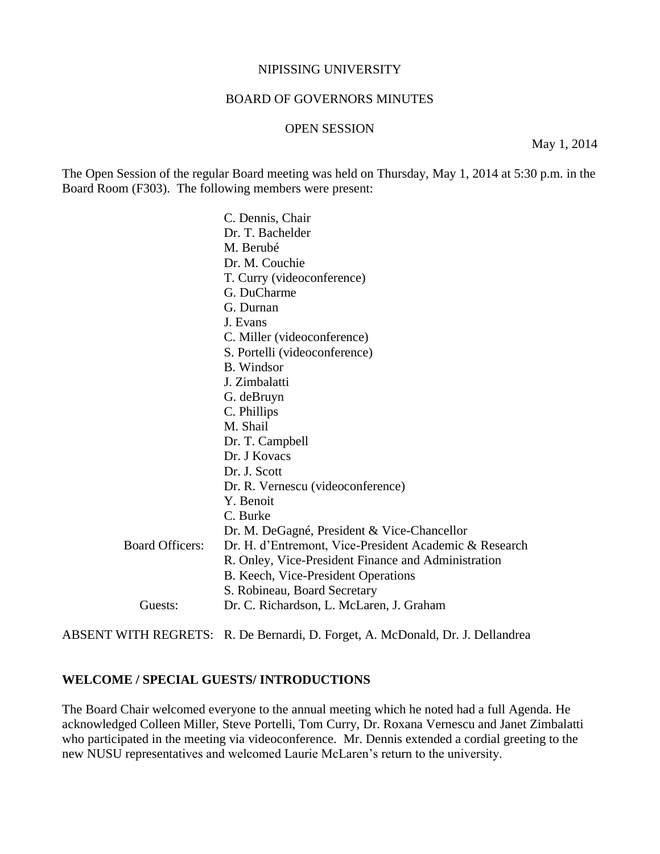#### NIPISSING UNIVERSITY

#### BOARD OF GOVERNORS MINUTES

#### OPEN SESSION

May 1, 2014

The Open Session of the regular Board meeting was held on Thursday, May 1, 2014 at 5:30 p.m. in the Board Room (F303). The following members were present:

 C. Dennis, Chair Dr. T. Bachelder M. Berubé Dr. M. Couchie T. Curry (videoconference) G. DuCharme G. Durnan J. Evans C. Miller (videoconference) S. Portelli (videoconference) B. Windsor J. Zimbalatti G. deBruyn C. Phillips M. Shail Dr. T. Campbell Dr. J Kovacs Dr. J. Scott Dr. R. Vernescu (videoconference) Y. Benoit C. Burke Dr. M. DeGagné, President & Vice-Chancellor Board Officers: Dr. H. d'Entremont, Vice-President Academic & Research R. Onley, Vice-President Finance and Administration B. Keech, Vice-President Operations S. Robineau, Board Secretary Guests: Dr. C. Richardson, L. McLaren, J. Graham

ABSENT WITH REGRETS: R. De Bernardi, D. Forget, A. McDonald, Dr. J. Dellandrea

### **WELCOME / SPECIAL GUESTS/ INTRODUCTIONS**

The Board Chair welcomed everyone to the annual meeting which he noted had a full Agenda. He acknowledged Colleen Miller, Steve Portelli, Tom Curry, Dr. Roxana Vernescu and Janet Zimbalatti who participated in the meeting via videoconference. Mr. Dennis extended a cordial greeting to the new NUSU representatives and welcomed Laurie McLaren's return to the university.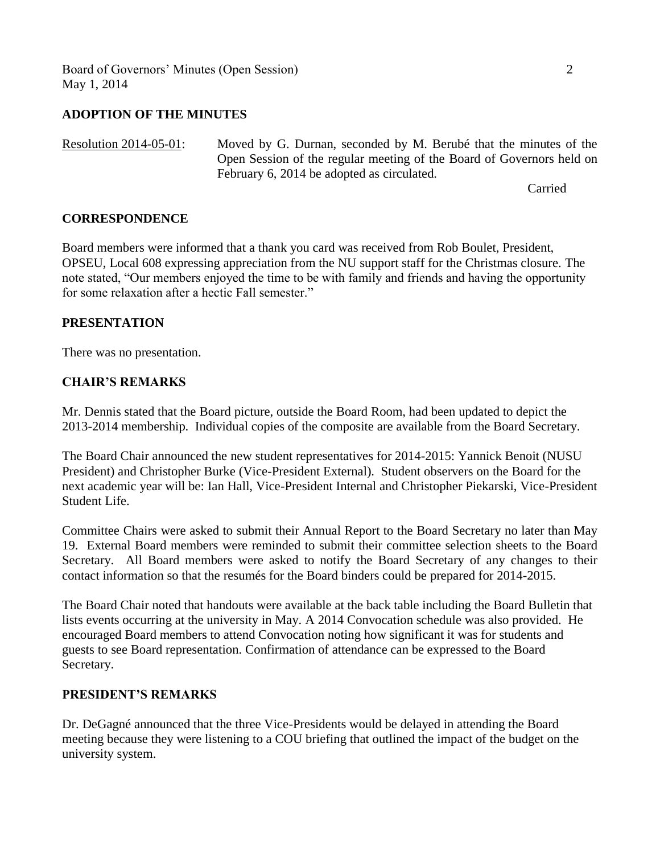Board of Governors' Minutes (Open Session) 2 May 1, 2014

### **ADOPTION OF THE MINUTES**

Resolution 2014-05-01: Moved by G. Durnan, seconded by M. Berubé that the minutes of the Open Session of the regular meeting of the Board of Governors held on February 6, 2014 be adopted as circulated.

Carried

### **CORRESPONDENCE**

Board members were informed that a thank you card was received from Rob Boulet, President, OPSEU, Local 608 expressing appreciation from the NU support staff for the Christmas closure. The note stated, "Our members enjoyed the time to be with family and friends and having the opportunity for some relaxation after a hectic Fall semester."

### **PRESENTATION**

There was no presentation.

### **CHAIR'S REMARKS**

Mr. Dennis stated that the Board picture, outside the Board Room, had been updated to depict the 2013-2014 membership. Individual copies of the composite are available from the Board Secretary.

The Board Chair announced the new student representatives for 2014-2015: Yannick Benoit (NUSU President) and Christopher Burke (Vice-President External). Student observers on the Board for the next academic year will be: Ian Hall, Vice-President Internal and Christopher Piekarski, Vice-President Student Life.

Committee Chairs were asked to submit their Annual Report to the Board Secretary no later than May 19. External Board members were reminded to submit their committee selection sheets to the Board Secretary. All Board members were asked to notify the Board Secretary of any changes to their contact information so that the resumés for the Board binders could be prepared for 2014-2015.

The Board Chair noted that handouts were available at the back table including the Board Bulletin that lists events occurring at the university in May. A 2014 Convocation schedule was also provided. He encouraged Board members to attend Convocation noting how significant it was for students and guests to see Board representation. Confirmation of attendance can be expressed to the Board Secretary.

### **PRESIDENT'S REMARKS**

Dr. DeGagné announced that the three Vice-Presidents would be delayed in attending the Board meeting because they were listening to a COU briefing that outlined the impact of the budget on the university system.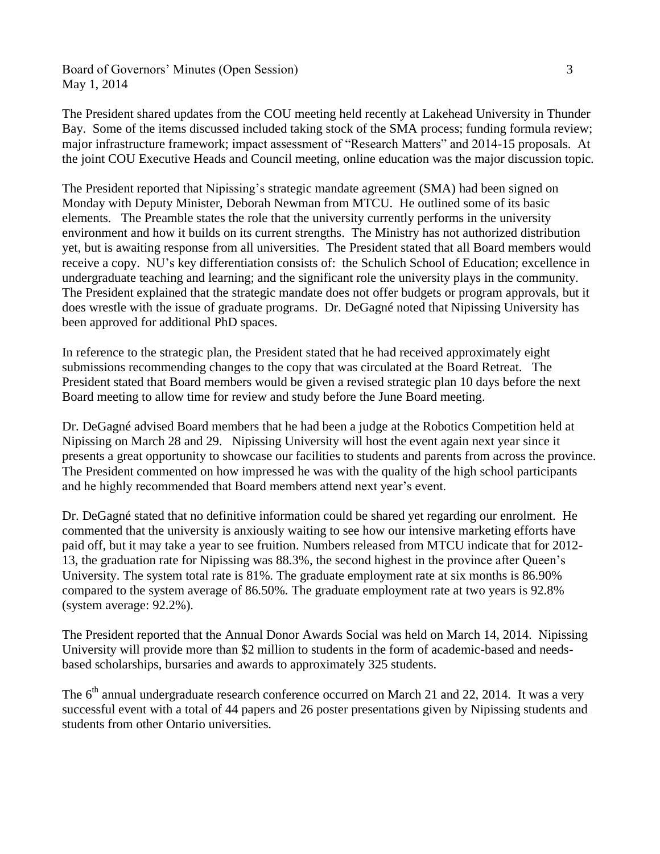Board of Governors' Minutes (Open Session) 3 May 1, 2014

The President shared updates from the COU meeting held recently at Lakehead University in Thunder Bay. Some of the items discussed included taking stock of the SMA process; funding formula review; major infrastructure framework; impact assessment of "Research Matters" and 2014-15 proposals. At the joint COU Executive Heads and Council meeting, online education was the major discussion topic.

The President reported that Nipissing's strategic mandate agreement (SMA) had been signed on Monday with Deputy Minister, Deborah Newman from MTCU. He outlined some of its basic elements. The Preamble states the role that the university currently performs in the university environment and how it builds on its current strengths. The Ministry has not authorized distribution yet, but is awaiting response from all universities. The President stated that all Board members would receive a copy. NU's key differentiation consists of: the Schulich School of Education; excellence in undergraduate teaching and learning; and the significant role the university plays in the community. The President explained that the strategic mandate does not offer budgets or program approvals, but it does wrestle with the issue of graduate programs. Dr. DeGagné noted that Nipissing University has been approved for additional PhD spaces.

In reference to the strategic plan, the President stated that he had received approximately eight submissions recommending changes to the copy that was circulated at the Board Retreat. The President stated that Board members would be given a revised strategic plan 10 days before the next Board meeting to allow time for review and study before the June Board meeting.

Dr. DeGagné advised Board members that he had been a judge at the Robotics Competition held at Nipissing on March 28 and 29. Nipissing University will host the event again next year since it presents a great opportunity to showcase our facilities to students and parents from across the province. The President commented on how impressed he was with the quality of the high school participants and he highly recommended that Board members attend next year's event.

Dr. DeGagné stated that no definitive information could be shared yet regarding our enrolment. He commented that the university is anxiously waiting to see how our intensive marketing efforts have paid off, but it may take a year to see fruition. Numbers released from MTCU indicate that for 2012- 13, the graduation rate for Nipissing was 88.3%, the second highest in the province after Queen's University. The system total rate is 81%. The graduate employment rate at six months is 86.90% compared to the system average of 86.50%. The graduate employment rate at two years is 92.8% (system average: 92.2%).

The President reported that the Annual Donor Awards Social was held on March 14, 2014. Nipissing University will provide more than \$2 million to students in the form of academic-based and needsbased scholarships, bursaries and awards to approximately 325 students.

The  $6<sup>th</sup>$  annual undergraduate research conference occurred on March 21 and 22, 2014. It was a very successful event with a total of 44 papers and 26 poster presentations given by Nipissing students and students from other Ontario universities.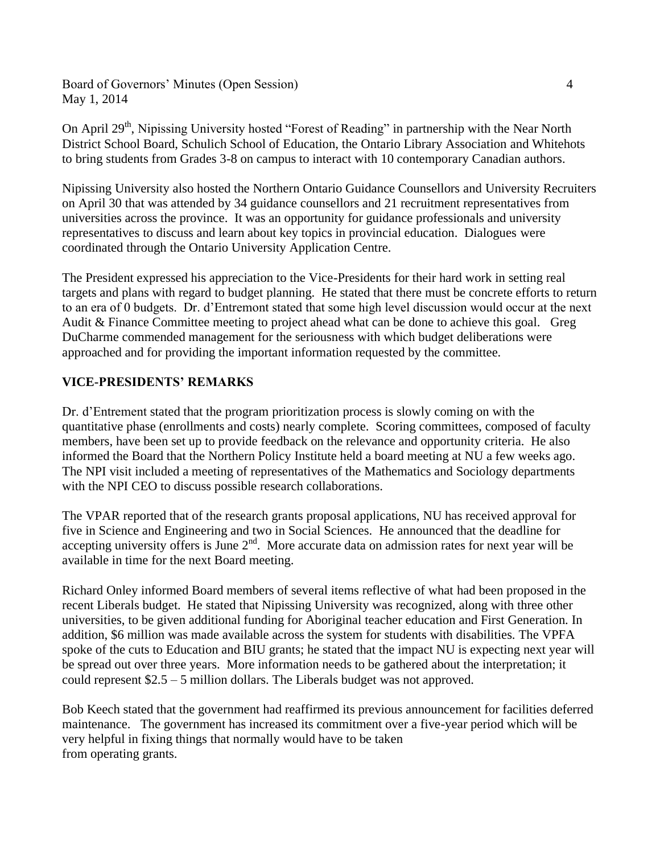Board of Governors' Minutes (Open Session) 4 May 1, 2014

On April 29<sup>th</sup>, Nipissing University hosted "Forest of Reading" in partnership with the Near North District School Board, Schulich School of Education, the Ontario Library Association and Whitehots to bring students from Grades 3-8 on campus to interact with 10 contemporary Canadian authors.

Nipissing University also hosted the Northern Ontario Guidance Counsellors and University Recruiters on April 30 that was attended by 34 guidance counsellors and 21 recruitment representatives from universities across the province. It was an opportunity for guidance professionals and university representatives to discuss and learn about key topics in provincial education. Dialogues were coordinated through the Ontario University Application Centre.

The President expressed his appreciation to the Vice-Presidents for their hard work in setting real targets and plans with regard to budget planning. He stated that there must be concrete efforts to return to an era of 0 budgets. Dr. d'Entremont stated that some high level discussion would occur at the next Audit & Finance Committee meeting to project ahead what can be done to achieve this goal. Greg DuCharme commended management for the seriousness with which budget deliberations were approached and for providing the important information requested by the committee.

# **VICE-PRESIDENTS' REMARKS**

Dr. d'Entrement stated that the program prioritization process is slowly coming on with the quantitative phase (enrollments and costs) nearly complete. Scoring committees, composed of faculty members, have been set up to provide feedback on the relevance and opportunity criteria. He also informed the Board that the Northern Policy Institute held a board meeting at NU a few weeks ago. The NPI visit included a meeting of representatives of the Mathematics and Sociology departments with the NPI CEO to discuss possible research collaborations.

The VPAR reported that of the research grants proposal applications, NU has received approval for five in Science and Engineering and two in Social Sciences. He announced that the deadline for accepting university offers is June  $2<sup>nd</sup>$ . More accurate data on admission rates for next year will be available in time for the next Board meeting.

Richard Onley informed Board members of several items reflective of what had been proposed in the recent Liberals budget. He stated that Nipissing University was recognized, along with three other universities, to be given additional funding for Aboriginal teacher education and First Generation. In addition, \$6 million was made available across the system for students with disabilities. The VPFA spoke of the cuts to Education and BIU grants; he stated that the impact NU is expecting next year will be spread out over three years. More information needs to be gathered about the interpretation; it could represent \$2.5 – 5 million dollars. The Liberals budget was not approved.

Bob Keech stated that the government had reaffirmed its previous announcement for facilities deferred maintenance. The government has increased its commitment over a five-year period which will be very helpful in fixing things that normally would have to be taken from operating grants.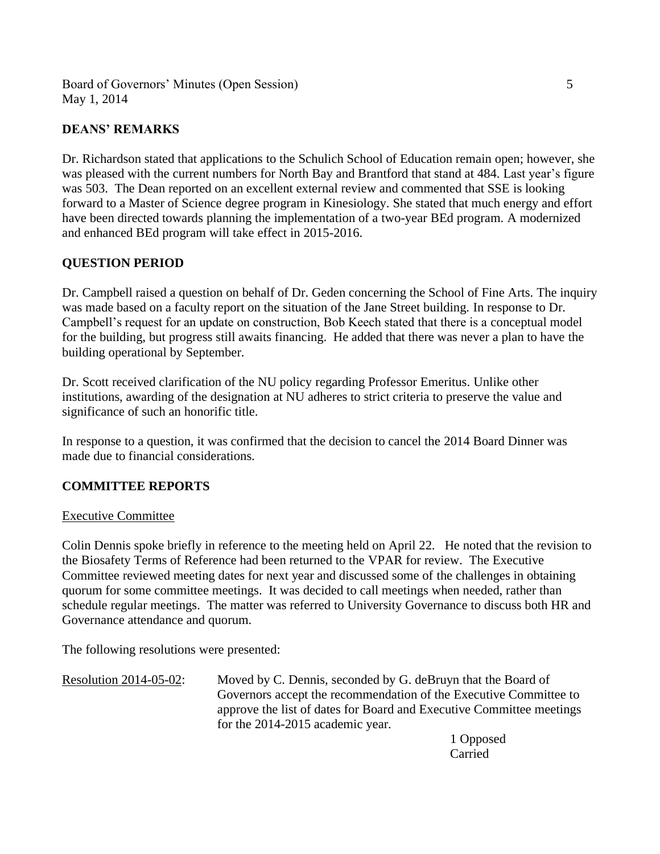Board of Governors' Minutes (Open Session) 5 May 1, 2014

## **DEANS' REMARKS**

Dr. Richardson stated that applications to the Schulich School of Education remain open; however, she was pleased with the current numbers for North Bay and Brantford that stand at 484. Last year's figure was 503. The Dean reported on an excellent external review and commented that SSE is looking forward to a Master of Science degree program in Kinesiology. She stated that much energy and effort have been directed towards planning the implementation of a two-year BEd program. A modernized and enhanced BEd program will take effect in 2015-2016.

## **QUESTION PERIOD**

Dr. Campbell raised a question on behalf of Dr. Geden concerning the School of Fine Arts. The inquiry was made based on a faculty report on the situation of the Jane Street building. In response to Dr. Campbell's request for an update on construction, Bob Keech stated that there is a conceptual model for the building, but progress still awaits financing. He added that there was never a plan to have the building operational by September.

Dr. Scott received clarification of the NU policy regarding Professor Emeritus. Unlike other institutions, awarding of the designation at NU adheres to strict criteria to preserve the value and significance of such an honorific title.

In response to a question, it was confirmed that the decision to cancel the 2014 Board Dinner was made due to financial considerations.

## **COMMITTEE REPORTS**

### Executive Committee

Colin Dennis spoke briefly in reference to the meeting held on April 22. He noted that the revision to the Biosafety Terms of Reference had been returned to the VPAR for review. The Executive Committee reviewed meeting dates for next year and discussed some of the challenges in obtaining quorum for some committee meetings. It was decided to call meetings when needed, rather than schedule regular meetings. The matter was referred to University Governance to discuss both HR and Governance attendance and quorum.

The following resolutions were presented:

Resolution 2014-05-02: Moved by C. Dennis, seconded by G. deBruyn that the Board of Governors accept the recommendation of the Executive Committee to approve the list of dates for Board and Executive Committee meetings for the 2014-2015 academic year.

1 Opposed Carried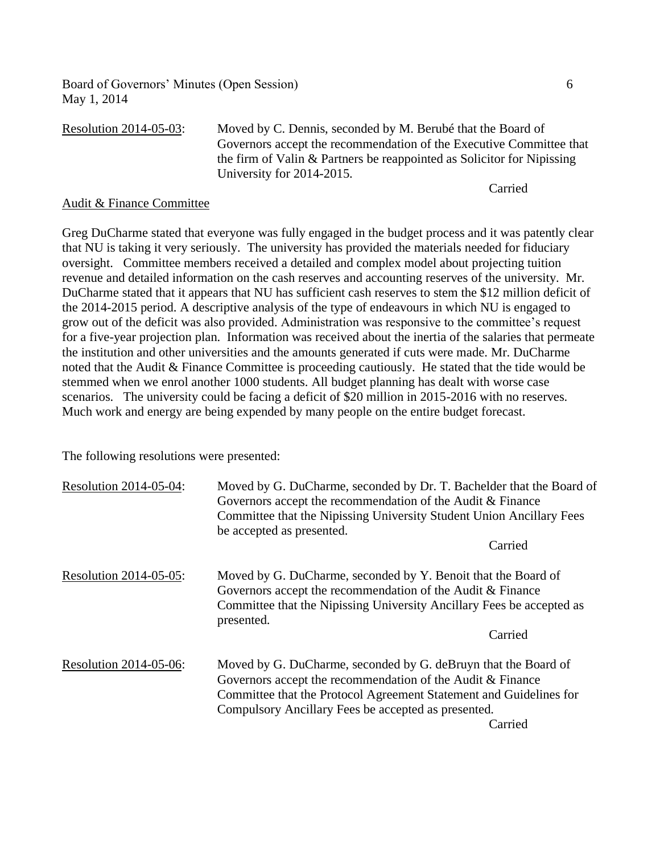Board of Governors' Minutes (Open Session) 6 May 1, 2014

| <b>Resolution 2014-05-03:</b> | Moved by C. Dennis, seconded by M. Berubé that the Board of            |
|-------------------------------|------------------------------------------------------------------------|
|                               | Governors accept the recommendation of the Executive Committee that    |
|                               | the firm of Valin & Partners be reappointed as Solicitor for Nipissing |
|                               | University for 2014-2015.                                              |
|                               | Carried                                                                |

#### Audit & Finance Committee

Greg DuCharme stated that everyone was fully engaged in the budget process and it was patently clear that NU is taking it very seriously. The university has provided the materials needed for fiduciary oversight. Committee members received a detailed and complex model about projecting tuition revenue and detailed information on the cash reserves and accounting reserves of the university. Mr. DuCharme stated that it appears that NU has sufficient cash reserves to stem the \$12 million deficit of the 2014-2015 period. A descriptive analysis of the type of endeavours in which NU is engaged to grow out of the deficit was also provided. Administration was responsive to the committee's request for a five-year projection plan. Information was received about the inertia of the salaries that permeate the institution and other universities and the amounts generated if cuts were made. Mr. DuCharme noted that the Audit & Finance Committee is proceeding cautiously. He stated that the tide would be stemmed when we enrol another 1000 students. All budget planning has dealt with worse case scenarios. The university could be facing a deficit of \$20 million in 2015-2016 with no reserves. Much work and energy are being expended by many people on the entire budget forecast.

The following resolutions were presented:

| Resolution 2014-05-04: | Moved by G. DuCharme, seconded by Dr. T. Bachelder that the Board of<br>Governors accept the recommendation of the Audit & Finance<br>Committee that the Nipissing University Student Union Ancillary Fees<br>be accepted as presented.                              |
|------------------------|----------------------------------------------------------------------------------------------------------------------------------------------------------------------------------------------------------------------------------------------------------------------|
|                        | Carried                                                                                                                                                                                                                                                              |
| Resolution 2014-05-05: | Moved by G. DuCharme, seconded by Y. Benoit that the Board of<br>Governors accept the recommendation of the Audit & Finance<br>Committee that the Nipissing University Ancillary Fees be accepted as<br>presented.                                                   |
|                        | Carried                                                                                                                                                                                                                                                              |
| Resolution 2014-05-06: | Moved by G. DuCharme, seconded by G. deBruyn that the Board of<br>Governors accept the recommendation of the Audit & Finance<br>Committee that the Protocol Agreement Statement and Guidelines for<br>Compulsory Ancillary Fees be accepted as presented.<br>Carried |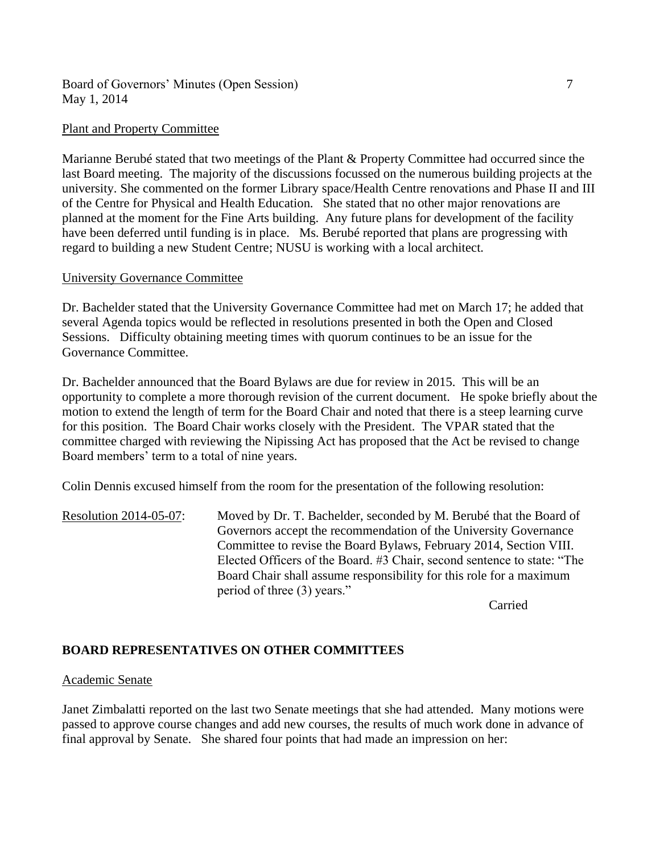Board of Governors' Minutes (Open Session) 7 May 1, 2014

#### Plant and Property Committee

Marianne Berubé stated that two meetings of the Plant & Property Committee had occurred since the last Board meeting. The majority of the discussions focussed on the numerous building projects at the university. She commented on the former Library space/Health Centre renovations and Phase II and III of the Centre for Physical and Health Education. She stated that no other major renovations are planned at the moment for the Fine Arts building. Any future plans for development of the facility have been deferred until funding is in place. Ms. Berubé reported that plans are progressing with regard to building a new Student Centre; NUSU is working with a local architect.

#### University Governance Committee

Dr. Bachelder stated that the University Governance Committee had met on March 17; he added that several Agenda topics would be reflected in resolutions presented in both the Open and Closed Sessions. Difficulty obtaining meeting times with quorum continues to be an issue for the Governance Committee.

Dr. Bachelder announced that the Board Bylaws are due for review in 2015. This will be an opportunity to complete a more thorough revision of the current document. He spoke briefly about the motion to extend the length of term for the Board Chair and noted that there is a steep learning curve for this position. The Board Chair works closely with the President. The VPAR stated that the committee charged with reviewing the Nipissing Act has proposed that the Act be revised to change Board members' term to a total of nine years.

Colin Dennis excused himself from the room for the presentation of the following resolution:

Resolution 2014-05-07: Moved by Dr. T. Bachelder, seconded by M. Berubé that the Board of Governors accept the recommendation of the University Governance Committee to revise the Board Bylaws, February 2014, Section VIII. Elected Officers of the Board. #3 Chair, second sentence to state: "The Board Chair shall assume responsibility for this role for a maximum period of three (3) years."

Carried

## **BOARD REPRESENTATIVES ON OTHER COMMITTEES**

#### Academic Senate

Janet Zimbalatti reported on the last two Senate meetings that she had attended. Many motions were passed to approve course changes and add new courses, the results of much work done in advance of final approval by Senate. She shared four points that had made an impression on her: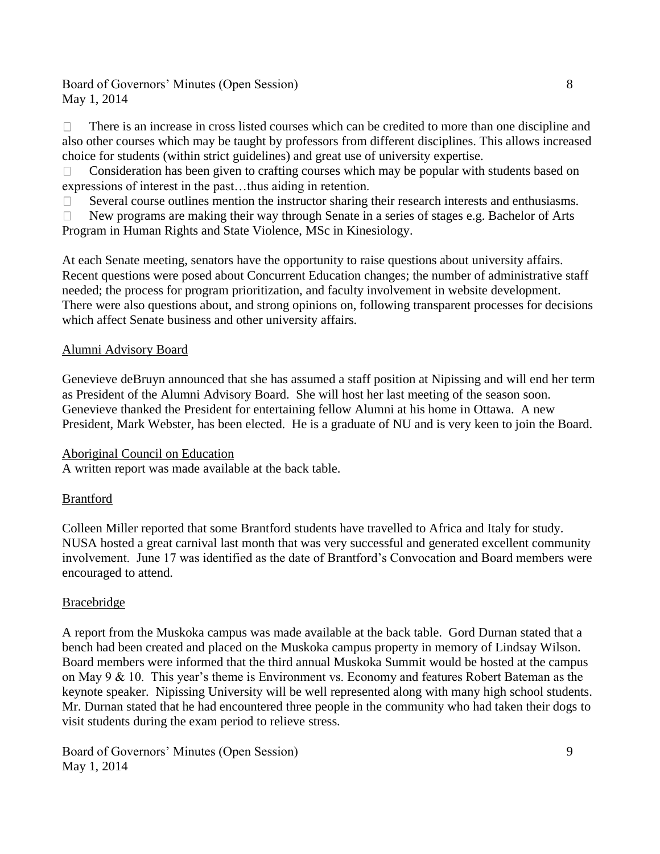Board of Governors' Minutes (Open Session) 8 May 1, 2014

There is an increase in cross listed courses which can be credited to more than one discipline and  $\Box$ also other courses which may be taught by professors from different disciplines. This allows increased choice for students (within strict guidelines) and great use of university expertise.

Consideration has been given to crafting courses which may be popular with students based on  $\Box$ expressions of interest in the past…thus aiding in retention.

Several course outlines mention the instructor sharing their research interests and enthusiasms.  $\Box$ 

 $\Box$ New programs are making their way through Senate in a series of stages e.g. Bachelor of Arts Program in Human Rights and State Violence, MSc in Kinesiology.

At each Senate meeting, senators have the opportunity to raise questions about university affairs. Recent questions were posed about Concurrent Education changes; the number of administrative staff needed; the process for program prioritization, and faculty involvement in website development. There were also questions about, and strong opinions on, following transparent processes for decisions which affect Senate business and other university affairs.

## Alumni Advisory Board

Genevieve deBruyn announced that she has assumed a staff position at Nipissing and will end her term as President of the Alumni Advisory Board. She will host her last meeting of the season soon. Genevieve thanked the President for entertaining fellow Alumni at his home in Ottawa. A new President, Mark Webster, has been elected. He is a graduate of NU and is very keen to join the Board.

## Aboriginal Council on Education

A written report was made available at the back table.

## Brantford

Colleen Miller reported that some Brantford students have travelled to Africa and Italy for study. NUSA hosted a great carnival last month that was very successful and generated excellent community involvement. June 17 was identified as the date of Brantford's Convocation and Board members were encouraged to attend.

## Bracebridge

A report from the Muskoka campus was made available at the back table. Gord Durnan stated that a bench had been created and placed on the Muskoka campus property in memory of Lindsay Wilson. Board members were informed that the third annual Muskoka Summit would be hosted at the campus on May 9 & 10. This year's theme is Environment vs. Economy and features Robert Bateman as the keynote speaker. Nipissing University will be well represented along with many high school students. Mr. Durnan stated that he had encountered three people in the community who had taken their dogs to visit students during the exam period to relieve stress.

Board of Governors' Minutes (Open Session) 9 May 1, 2014